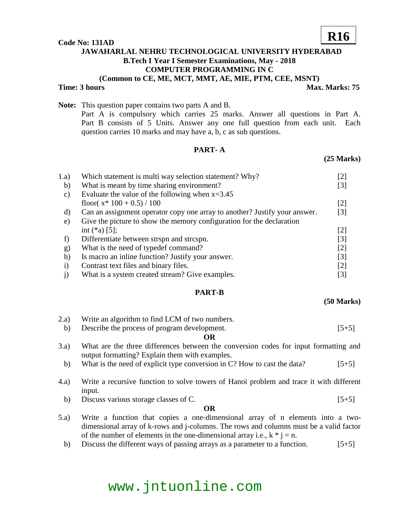#### **Code No: 131AD**

# **JAWAHARLAL NEHRU TECHNOLOGICAL UNIVERSITY HYDERABAD B.Tech I Year I Semester Examinations, May - 2018 COMPUTER PROGRAMMING IN C (Common to CE, ME, MCT, MMT, AE, MIE, PTM, CEE, MSNT)**

**Time: 3 hours Max. Marks: 75** 

**R16**

**Note:** This question paper contains two parts A and B. Part A is compulsory which carries 25 marks. Answer all questions in Part A. Part B consists of 5 Units. Answer any one full question from each unit. Each question carries 10 marks and may have a, b, c as sub questions.

## **PART- A**

### **(25 Marks)**

| 1.a)          | Which statement is multi way selection statement? Why?                     | [2]               |
|---------------|----------------------------------------------------------------------------|-------------------|
| b)            | What is meant by time sharing environment?                                 | [3]               |
| $\mathbf{c})$ | Evaluate the value of the following when $x=3.45$                          |                   |
|               | floor( $x^*$ 100 + 0.5) / 100                                              | $\lceil 2 \rceil$ |
| d)            | Can an assignment operator copy one array to another? Justify your answer. | $\lceil 3 \rceil$ |
| e)            | Give the picture to show the memory configuration for the declaration      |                   |
|               | int $(*a)$ [5];                                                            | $\lceil 2 \rceil$ |
| f)            | Differentiate between strspn and strcspn.                                  | $\lceil 3 \rceil$ |
| $\mathbf{g}$  | What is the need of typedef command?                                       | $\lceil 2 \rceil$ |
| h)            | Is macro an inline function? Justify your answer.                          | $\lceil 3 \rceil$ |
| $\bf{1)}$     | Contrast text files and binary files.                                      | $\lceil 2 \rceil$ |
|               | What is a system created stream? Give examples.                            | [3]               |

### **PART-B**

#### **(50 Marks)**

2.a) Write an algorithm to find LCM of two numbers. b) Describe the process of program development. [5+5]

#### **OR**

- 3.a) What are the three differences between the conversion codes for input formatting and output formatting? Explain them with examples.
	- b) What is the need of explicit type conversion in C? How to cast the data?  $[5+5]$
- 4.a) Write a recursive function to solve towers of Hanoi problem and trace it with different input.
	- b) Discuss various storage classes of C.  $[5+5]$

### **OR**

- 5.a) Write a function that copies a one-dimensional array of n elements into a twodimensional array of k-rows and j-columns. The rows and columns must be a valid factor of the number of elements in the one-dimensional array i.e.,  $k * j = n$ .
	- b) Discuss the different ways of passing arrays as a parameter to a function. [5+5]

# www.jntuonline.com